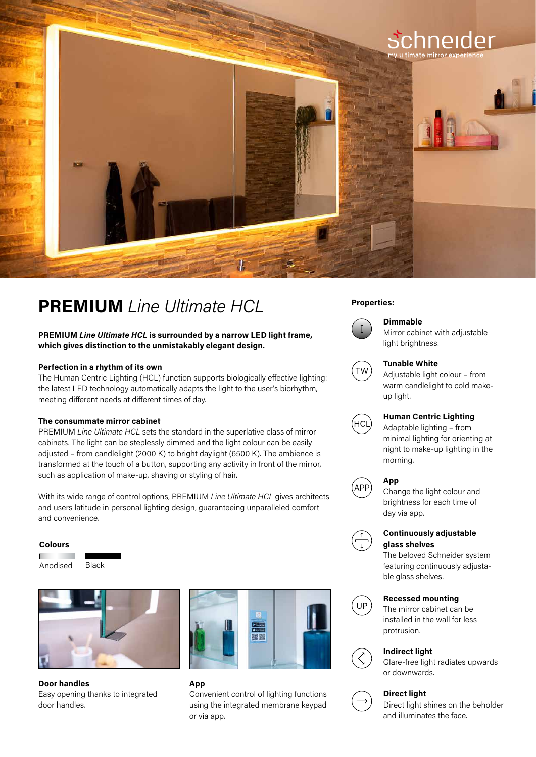

# **PREMIUM** *Line Ultimate HCL* Properties:

**PREMIUM** *Line Ultimate HCL* **is surrounded by a narrow LED light frame, which gives distinction to the unmistakably elegant design.**

## **Perfection in a rhythm of its own**

The Human Centric Lighting (HCL) function supports biologically effective lighting: the latest LED technology automatically adapts the light to the user's biorhythm, meeting different needs at different times of day.

#### **The consummate mirror cabinet**

PREMIUM *Line Ultimate HCL* sets the standard in the superlative class of mirror cabinets. The light can be steplessly dimmed and the light colour can be easily adjusted – from candlelight (2000 K) to bright daylight (6500 K). The ambience is transformed at the touch of a button, supporting any activity in front of the mirror, such as application of make-up, shaving or styling of hair.

With its wide range of control options, PREMIUM *Line Ultimate HCL* gives architects and users latitude in personal lighting design, guaranteeing unparalleled comfort and convenience.

#### **Colours**







**Door handles** Easy opening thanks to integrated door handles.



# **App**  Convenient control of lighting functions using the integrated membrane keypad or via app.



# **Dimmable** Mirror cabinet with adjustable



#### **Tunable White**

light brightness.

Adjustable light colour – from warm candlelight to cold makeup light.



# **Human Centric Lighting**

Adaptable lighting – from minimal lighting for orienting at night to make-up lighting in the morning.

## **App**



Change the light colour and brightness for each time of day via app.



## **Continuously adjustable glass shelves**

The beloved Schneider system featuring continuously adjustable glass shelves.

## **Recessed mounting**



The mirror cabinet can be



installed in the wall for less protrusion.



# **Indirect light**

Glare-free light radiates upwards or downwards.

# **Direct light**